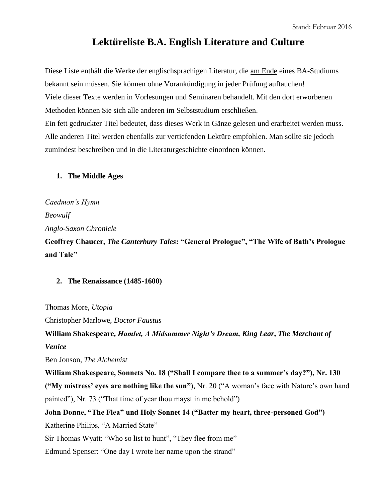# **Lektüreliste B.A. English Literature and Culture**

Diese Liste enthält die Werke der englischsprachigen Literatur, die am Ende eines BA-Studiums bekannt sein müssen. Sie können ohne Vorankündigung in jeder Prüfung auftauchen! Viele dieser Texte werden in Vorlesungen und Seminaren behandelt. Mit den dort erworbenen Methoden können Sie sich alle anderen im Selbststudium erschließen. Ein fett gedruckter Titel bedeutet, dass dieses Werk in Gänze gelesen und erarbeitet werden muss. Alle anderen Titel werden ebenfalls zur vertiefenden Lektüre empfohlen. Man sollte sie jedoch zumindest beschreiben und in die Literaturgeschichte einordnen können.

# **1. The Middle Ages**

*Caedmon's Hymn Beowulf Anglo-Saxon Chronicle*

**Geoffrey Chaucer,** *The Canterbury Tales***: "General Prologue", "The Wife of Bath's Prologue and Tale"**

# **2. The Renaissance (1485-1600)**

Thomas More, *Utopia*

Christopher Marlowe, *Doctor Faustus*

**William Shakespeare,** *Hamlet, A Midsummer Night's Dream, King Lear***,** *The Merchant of Venice*

Ben Jonson, *The Alchemist*

**William Shakespeare, Sonnets No. 18 ("Shall I compare thee to a summer's day?"), Nr. 130 ("My mistress' eyes are nothing like the sun")**, Nr. 20 ("A woman's face with Nature's own hand painted"), Nr. 73 ("That time of year thou mayst in me behold")

**John Donne, "The Flea" und Holy Sonnet 14 ("Batter my heart, three-personed God")**

Katherine Philips, "A Married State"

Sir Thomas Wyatt: "Who so list to hunt", "They flee from me"

Edmund Spenser: "One day I wrote her name upon the strand"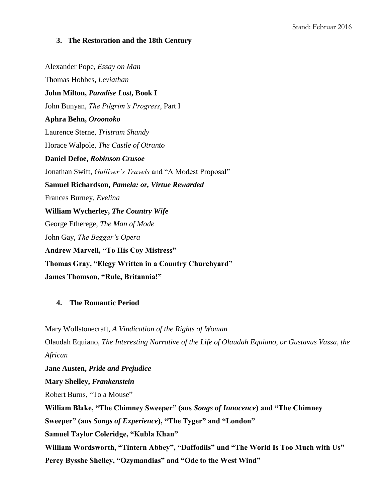#### **3. The Restoration and the 18th Century**

Alexander Pope, *Essay on Man* Thomas Hobbes, *Leviathan* **John Milton,** *Paradise Lost***, Book I**  John Bunyan, *The Pilgrim's Progress*, Part I **Aphra Behn,** *Oroonoko* Laurence Sterne, *Tristram Shandy* Horace Walpole, *The Castle of Otranto* **Daniel Defoe,** *Robinson Crusoe* Jonathan Swift, *Gulliver's Travels* and "A Modest Proposal" **Samuel Richardson,** *Pamela: or, Virtue Rewarded* Frances Burney, *Evelina* **William Wycherley,** *The Country Wife* George Etherege, *The Man of Mode* John Gay, *The Beggar's Opera* **Andrew Marvell, "To His Coy Mistress" Thomas Gray, "Elegy Written in a Country Churchyard" James Thomson, "Rule, Britannia!"**

#### **4. The Romantic Period**

Mary Wollstonecraft, *A Vindication of the Rights of Woman* Olaudah Equiano, *The Interesting Narrative of the Life of Olaudah Equiano, or Gustavus Vassa, the African* **Jane Austen,** *Pride and Prejudice* 

**Mary Shelley,** *Frankenstein* Robert Burns, "To a Mouse" **William Blake, "The Chimney Sweeper" (aus** *Songs of Innocence***) and "The Chimney Sweeper" (aus** *Songs of Experience***), "The Tyger" and "London" Samuel Taylor Coleridge, "Kubla Khan" William Wordsworth, "Tintern Abbey", "Daffodils" und "The World Is Too Much with Us" Percy Bysshe Shelley, "Ozymandias" and "Ode to the West Wind"**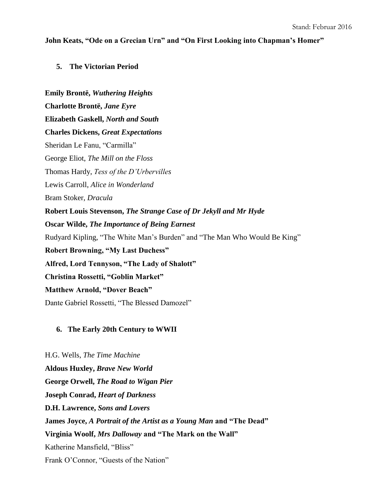#### **John Keats, "Ode on a Grecian Urn" and "On First Looking into Chapman's Homer"**

### **5. The Victorian Period**

**Emily Brontë,** *Wuthering Heights* **Charlotte Brontë,** *Jane Eyre* **Elizabeth Gaskell,** *North and South* **Charles Dickens,** *Great Expectations* Sheridan Le Fanu, "Carmilla" George Eliot, *The Mill on the Floss* Thomas Hardy, *Tess of the D'Urbervilles* Lewis Carroll, *Alice in Wonderland* Bram Stoker, *Dracula* **Robert Louis Stevenson,** *The Strange Case of Dr Jekyll and Mr Hyde* **Oscar Wilde,** *The Importance of Being Earnest*  Rudyard Kipling, "The White Man's Burden" and "The Man Who Would Be King" **Robert Browning, "My Last Duchess" Alfred, Lord Tennyson, "The Lady of Shalott" Christina Rossetti, "Goblin Market" Matthew Arnold, "Dover Beach"** Dante Gabriel Rossetti, "The Blessed Damozel"

## **6. The Early 20th Century to WWII**

H.G. Wells, *The Time Machine* **Aldous Huxley,** *Brave New World* **George Orwell,** *The Road to Wigan Pier* **Joseph Conrad,** *Heart of Darkness* **D.H. Lawrence,** *Sons and Lovers* **James Joyce,** *A Portrait of the Artist as a Young Man* **and "The Dead" Virginia Woolf,** *Mrs Dalloway* **and "The Mark on the Wall"**  Katherine Mansfield, "Bliss" Frank O'Connor, "Guests of the Nation"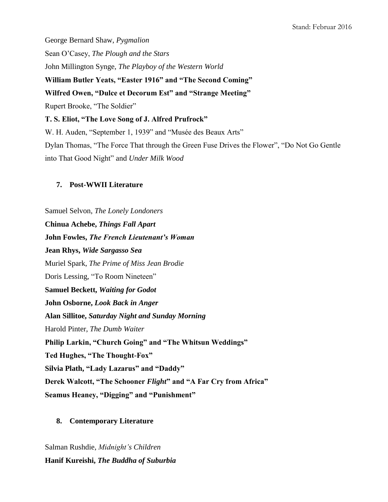George Bernard Shaw, *Pygmalion* Sean O'Casey, *The Plough and the Stars* John Millington Synge, *The Playboy of the Western World* **William Butler Yeats, "Easter 1916" and "The Second Coming" Wilfred Owen, "Dulce et Decorum Est" and "Strange Meeting"** Rupert Brooke, "The Soldier" **T. S. Eliot, "The Love Song of J. Alfred Prufrock"** W. H. Auden, "September 1, 1939" and "Musée des Beaux Arts" Dylan Thomas, "The Force That through the Green Fuse Drives the Flower", "Do Not Go Gentle into That Good Night" and *Under Milk Wood*

#### **7. Post-WWII Literature**

Samuel Selvon, *The Lonely Londoners* **Chinua Achebe,** *Things Fall Apart*  **John Fowles,** *The French Lieutenant's Woman* **Jean Rhys,** *Wide Sargasso Sea* Muriel Spark, *The Prime of Miss Jean Brodie* Doris Lessing, "To Room Nineteen" **Samuel Beckett,** *Waiting for Godot* **John Osborne,** *Look Back in Anger* **Alan Sillitoe,** *Saturday Night and Sunday Morning* Harold Pinter, *The Dumb Waiter* **Philip Larkin, "Church Going" and "The Whitsun Weddings" Ted Hughes, "The Thought-Fox" Silvia Plath, "Lady Lazarus" and "Daddy" Derek Walcott, "The Schooner** *Flight***" and "A Far Cry from Africa" Seamus Heaney, "Digging" and "Punishment"** 

## **8. Contemporary Literature**

Salman Rushdie, *Midnight's Children* **Hanif Kureishi,** *The Buddha of Suburbia*